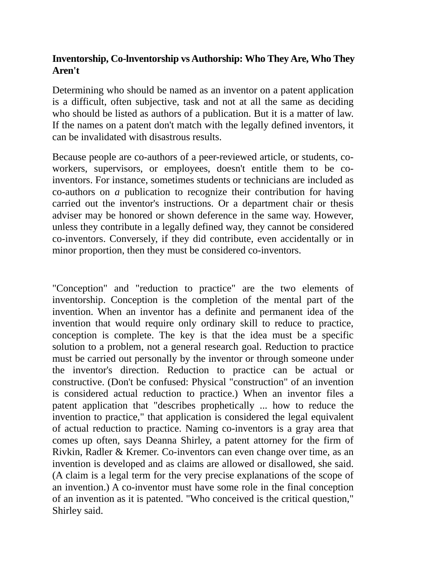## **Inventorship, Co-lnventorship vs Authorship: Who They Are, Who They Aren't**

Determining who should be named as an inventor on a patent application is a difficult, often subjective, task and not at all the same as deciding who should be listed as authors of a publication. But it is a matter of law. If the names on a patent don't match with the legally defined inventors, it can be invalidated with disastrous results.

Because people are co-authors of a peer-reviewed article, or students, coworkers, supervisors, or employees, doesn't entitle them to be coinventors. For instance, sometimes students or technicians are included as co-authors on *a* publication to recognize their contribution for having carried out the inventor's instructions. Or a department chair or thesis adviser may be honored or shown deference in the same way. However, unless they contribute in a legally defined way, they cannot be considered co-inventors. Conversely, if they did contribute, even accidentally or in minor proportion, then they must be considered co-inventors.

"Conception" and "reduction to practice" are the two elements of inventorship. Conception is the completion of the mental part of the invention. When an inventor has a definite and permanent idea of the invention that would require only ordinary skill to reduce to practice, conception is complete. The key is that the idea must be a specific solution to a problem, not a general research goal. Reduction to practice must be carried out personally by the inventor or through someone under the inventor's direction. Reduction to practice can be actual or constructive. (Don't be confused: Physical "construction" of an invention is considered actual reduction to practice.) When an inventor files a patent application that "describes prophetically ... how to reduce the invention to practice," that application is considered the legal equivalent of actual reduction to practice. Naming co-inventors is a gray area that comes up often, says Deanna Shirley, a patent attorney for the firm of Rivkin, Radler & Kremer. Co-inventors can even change over time, as an invention is developed and as claims are allowed or disallowed, she said. (A claim is a legal term for the very precise explanations of the scope of an invention.) A co-inventor must have some role in the final conception of an invention as it is patented. "Who conceived is the critical question," Shirley said.